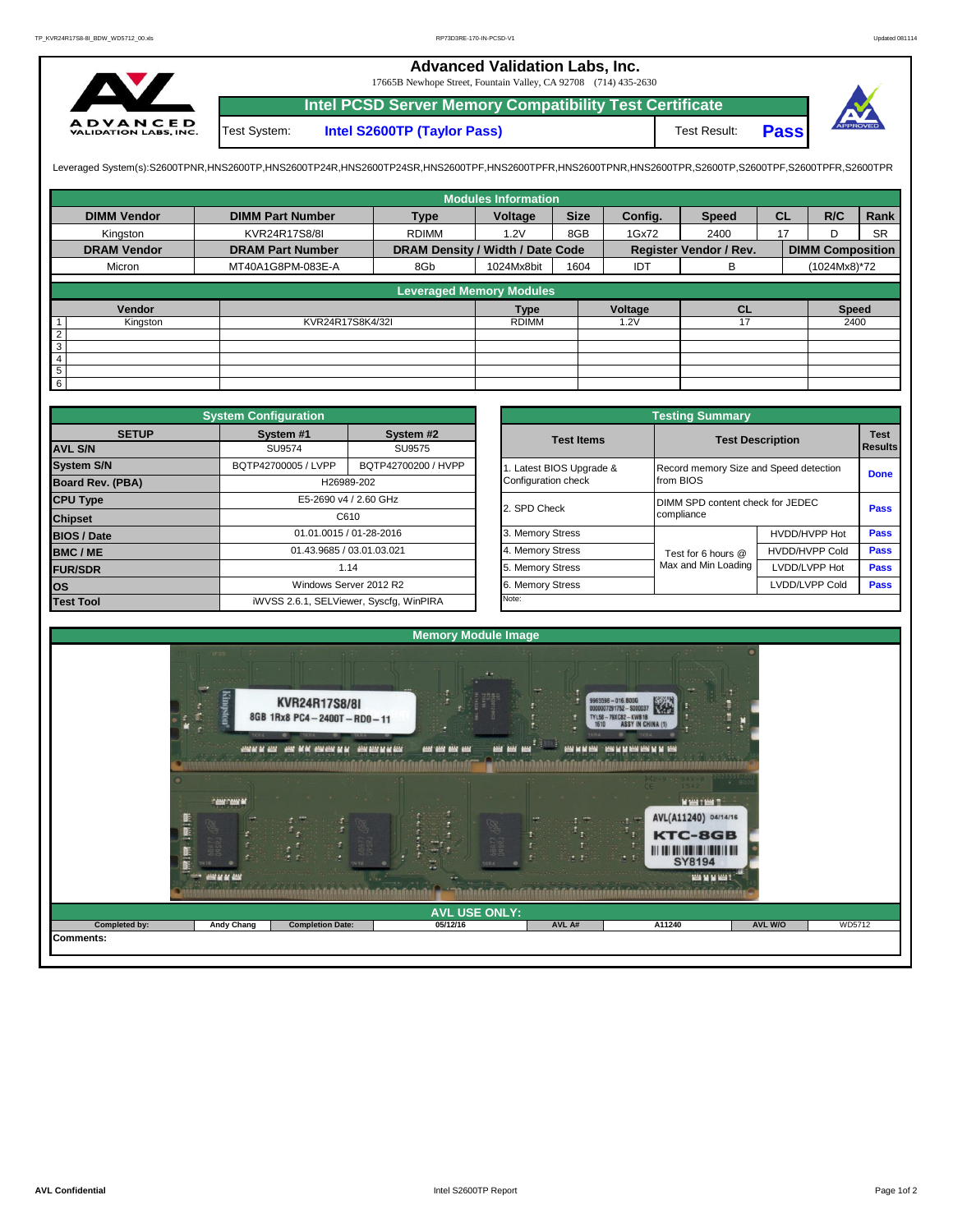## **Advanced Validation Labs, Inc.**

17665B Newhope Street, Fountain Valley, CA 92708 (714) 435-2630



Test System: **Intel S2600TP (Taylor Pass)** Test Result: **Intel PCSD Server Memory Compatibility Test Certificate Pass**



Leveraged System(s):S2600TPNR,HNS2600TP,HNS2600TP24R,HNS2600TP24SR,HNS2600TPF,HNS2600TPRR,HNS2600TPR,S2600TPR,S2600TPR,S2600TPR,S2600TPR,S2600TPFR,S2600TPFR,

|                    |                         |                                  | <b>Modules Information</b> |             |               |                               |           |                         |           |
|--------------------|-------------------------|----------------------------------|----------------------------|-------------|---------------|-------------------------------|-----------|-------------------------|-----------|
| <b>DIMM Vendor</b> | <b>DIMM Part Number</b> | <b>Type</b>                      | Voltage                    | <b>Size</b> | Config.       | <b>Speed</b>                  | <b>CL</b> | R/C                     | Rank      |
| Kinaston           | KVR24R17S8/8I           | <b>RDIMM</b><br>1.2V             |                            | 8GB         | 1Gx72<br>2400 |                               | 17        | D                       | <b>SR</b> |
| <b>DRAM Vendor</b> | <b>DRAM Part Number</b> | DRAM Density / Width / Date Code |                            |             |               | <b>Register Vendor / Rev.</b> |           | <b>DIMM Composition</b> |           |
| Micron             | MT40A1G8PM-083E-A       | 8Gb                              | 1024Mx8bit                 | 1604        | IDT           | в                             |           | (1024Mx8)*72            |           |
|                    |                         | <b>Leveraged Memory Modules</b>  |                            |             |               |                               |           |                         |           |
|                    |                         |                                  |                            |             |               |                               |           |                         |           |
| Vendor             |                         |                                  | <b>Type</b>                |             | Voltage       | <b>CL</b>                     |           | <b>Speed</b>            |           |
| Kingston           | KVR24R17S8K4/32I        |                                  | <b>RDIMM</b>               |             | 1.2V          |                               |           | 2400                    |           |
| $\overline{2}$     |                         |                                  |                            |             |               |                               |           |                         |           |
| $\overline{3}$     |                         |                                  |                            |             |               |                               |           |                         |           |
| $\overline{4}$     |                         |                                  |                            |             |               |                               |           |                         |           |
| $\overline{5}$     |                         |                                  |                            |             |               |                               |           |                         |           |
| $6\overline{6}$    |                         |                                  |                            |             |               |                               |           |                         |           |

|                    | <b>System Configuration</b> |                                         |  |                       | <b>Testing Summary</b>                 |                         |             |  |  |
|--------------------|-----------------------------|-----------------------------------------|--|-----------------------|----------------------------------------|-------------------------|-------------|--|--|
| <b>SETUP</b>       | System #1                   | System #2                               |  | <b>Test Items</b>     |                                        | <b>Test Description</b> | <b>Test</b> |  |  |
| <b>AVL S/N</b>     | SU9574                      | SU9575                                  |  |                       |                                        |                         |             |  |  |
| <b>System S/N</b>  | BQTP42700005 / LVPP         | BQTP42700200 / HVPP                     |  | Latest BIOS Upgrade & | Record memory Size and Speed detection |                         | <b>Done</b> |  |  |
| Board Rev. (PBA)   | H26989-202                  |                                         |  | Configuration check   | from BIOS                              |                         |             |  |  |
| <b>CPU Type</b>    |                             | E5-2690 v4 / 2.60 GHz                   |  | 2. SPD Check          | DIMM SPD content check for JEDEC       |                         | Pass        |  |  |
| <b>Chipset</b>     | C610                        |                                         |  |                       | compliance                             |                         |             |  |  |
| <b>BIOS / Date</b> |                             | 01.01.0015 / 01-28-2016                 |  | 3. Memory Stress      |                                        | HVDD/HVPP Hot           | <b>Pass</b> |  |  |
| <b>BMC/ME</b>      | 01.43.9685 / 03.01.03.021   |                                         |  | 4. Memory Stress      | Test for 6 hours @                     | <b>HVDD/HVPP Cold</b>   | <b>Pass</b> |  |  |
| <b>FUR/SDR</b>     | 1.14                        |                                         |  | 5. Memory Stress      | Max and Min Loading                    | LVDD/LVPP Hot           | Pass        |  |  |
| <b>los</b>         | Windows Server 2012 R2      |                                         |  | 6. Memory Stress      | LVDD/LVPP Cold<br>Pass                 |                         |             |  |  |
| <b>Test Tool</b>   |                             | iWVSS 2.6.1, SELViewer, Syscfq, WinPIRA |  | Note:                 |                                        |                         |             |  |  |

|                     | <b>System Configuration</b> |                                         |                       | <b>Testing Summary</b>           |                                        |                               |  |  |  |
|---------------------|-----------------------------|-----------------------------------------|-----------------------|----------------------------------|----------------------------------------|-------------------------------|--|--|--|
| <b>SETUP</b>        | System #1                   | System #2                               | <b>Test Items</b>     | <b>Test Description</b>          |                                        | <b>Test</b><br><b>Results</b> |  |  |  |
|                     | SU9574                      | SU9575                                  |                       |                                  |                                        |                               |  |  |  |
| BQTP42700005 / LVPP |                             | BQTP42700200 / HVPP                     | Latest BIOS Upgrade & |                                  | Record memory Size and Speed detection |                               |  |  |  |
| PBA)                |                             | H26989-202                              | Configuration check   | from BIOS                        |                                        | <b>Done</b>                   |  |  |  |
|                     |                             | E5-2690 v4 / 2.60 GHz                   | 2. SPD Check          | DIMM SPD content check for JEDEC |                                        |                               |  |  |  |
|                     |                             | C610                                    |                       | compliance                       |                                        | Pass                          |  |  |  |
|                     |                             | 01.01.0015 / 01-28-2016                 | 3. Memory Stress      |                                  | HVDD/HVPP Hot                          | Pass                          |  |  |  |
|                     | 01.43.9685 / 03.01.03.021   |                                         | 4. Memory Stress      | Test for 6 hours @               | <b>HVDD/HVPP Cold</b>                  | Pass                          |  |  |  |
|                     |                             | 1.14                                    | 5. Memory Stress      | Max and Min Loading              | LVDD/LVPP Hot                          | Pass                          |  |  |  |
|                     |                             | Windows Server 2012 R2                  | 6. Memory Stress      |                                  | LVDD/LVPP Cold                         | Pass                          |  |  |  |
|                     |                             | iWVSS 2.6.1, SELViewer, Syscfq, WinPIRA | Note:                 |                                  |                                        |                               |  |  |  |